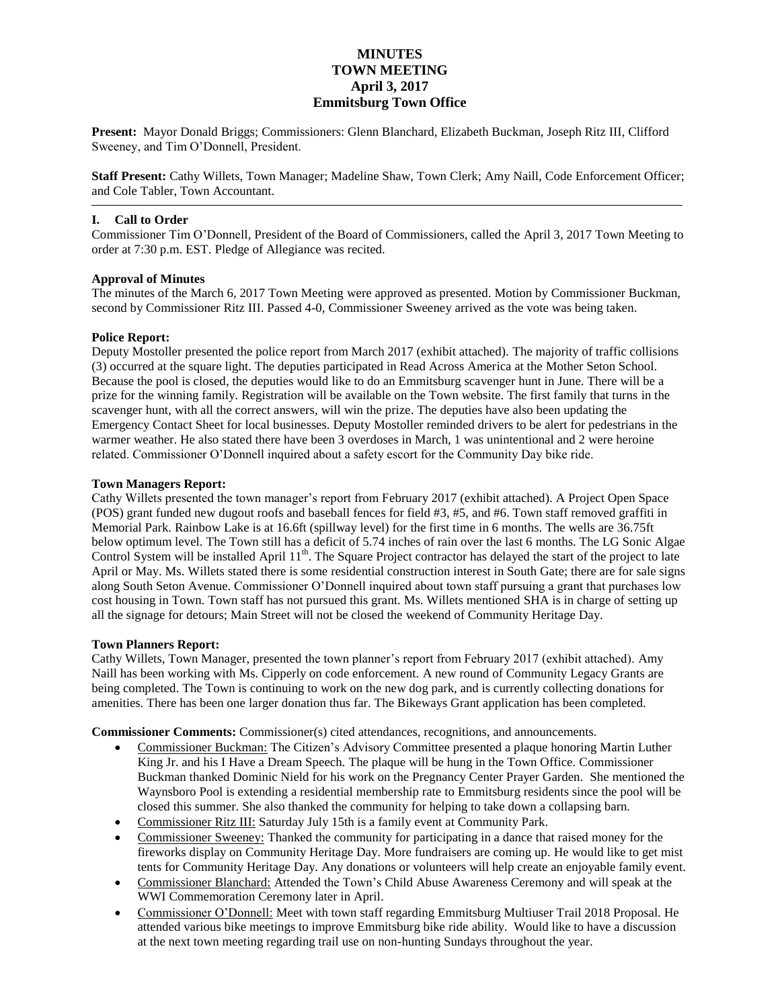# **MINUTES TOWN MEETING April 3, 2017 Emmitsburg Town Office**

**Present:** Mayor Donald Briggs; Commissioners: Glenn Blanchard, Elizabeth Buckman, Joseph Ritz III, Clifford Sweeney, and Tim O'Donnell, President.

**Staff Present:** Cathy Willets, Town Manager; Madeline Shaw, Town Clerk; Amy Naill, Code Enforcement Officer; and Cole Tabler, Town Accountant.

# **I. Call to Order**

Commissioner Tim O'Donnell, President of the Board of Commissioners, called the April 3, 2017 Town Meeting to order at 7:30 p.m. EST. Pledge of Allegiance was recited.

# **Approval of Minutes**

The minutes of the March 6, 2017 Town Meeting were approved as presented. Motion by Commissioner Buckman, second by Commissioner Ritz III. Passed 4-0, Commissioner Sweeney arrived as the vote was being taken.

# **Police Report:**

Deputy Mostoller presented the police report from March 2017 (exhibit attached). The majority of traffic collisions (3) occurred at the square light. The deputies participated in Read Across America at the Mother Seton School. Because the pool is closed, the deputies would like to do an Emmitsburg scavenger hunt in June. There will be a prize for the winning family. Registration will be available on the Town website. The first family that turns in the scavenger hunt, with all the correct answers, will win the prize. The deputies have also been updating the Emergency Contact Sheet for local businesses. Deputy Mostoller reminded drivers to be alert for pedestrians in the warmer weather. He also stated there have been 3 overdoses in March, 1 was unintentional and 2 were heroine related. Commissioner O'Donnell inquired about a safety escort for the Community Day bike ride.

# **Town Managers Report:**

Cathy Willets presented the town manager's report from February 2017 (exhibit attached). A Project Open Space (POS) grant funded new dugout roofs and baseball fences for field #3, #5, and #6. Town staff removed graffiti in Memorial Park. Rainbow Lake is at 16.6ft (spillway level) for the first time in 6 months. The wells are 36.75ft below optimum level. The Town still has a deficit of 5.74 inches of rain over the last 6 months. The LG Sonic Algae Control System will be installed April 11<sup>th</sup>. The Square Project contractor has delayed the start of the project to late April or May. Ms. Willets stated there is some residential construction interest in South Gate; there are for sale signs along South Seton Avenue. Commissioner O'Donnell inquired about town staff pursuing a grant that purchases low cost housing in Town. Town staff has not pursued this grant. Ms. Willets mentioned SHA is in charge of setting up all the signage for detours; Main Street will not be closed the weekend of Community Heritage Day.

#### **Town Planners Report:**

Cathy Willets, Town Manager, presented the town planner's report from February 2017 (exhibit attached). Amy Naill has been working with Ms. Cipperly on code enforcement. A new round of Community Legacy Grants are being completed. The Town is continuing to work on the new dog park, and is currently collecting donations for amenities. There has been one larger donation thus far. The Bikeways Grant application has been completed.

**Commissioner Comments:** Commissioner(s) cited attendances, recognitions, and announcements.

- Commissioner Buckman: The Citizen's Advisory Committee presented a plaque honoring Martin Luther King Jr. and his I Have a Dream Speech. The plaque will be hung in the Town Office. Commissioner Buckman thanked Dominic Nield for his work on the Pregnancy Center Prayer Garden. She mentioned the Waynsboro Pool is extending a residential membership rate to Emmitsburg residents since the pool will be closed this summer. She also thanked the community for helping to take down a collapsing barn.
- Commissioner Ritz III: Saturday July 15th is a family event at Community Park.
- Commissioner Sweeney: Thanked the community for participating in a dance that raised money for the fireworks display on Community Heritage Day. More fundraisers are coming up. He would like to get mist tents for Community Heritage Day. Any donations or volunteers will help create an enjoyable family event.
- Commissioner Blanchard: Attended the Town's Child Abuse Awareness Ceremony and will speak at the WWI Commemoration Ceremony later in April.
- Commissioner O'Donnell: Meet with town staff regarding Emmitsburg Multiuser Trail 2018 Proposal. He attended various bike meetings to improve Emmitsburg bike ride ability. Would like to have a discussion at the next town meeting regarding trail use on non-hunting Sundays throughout the year.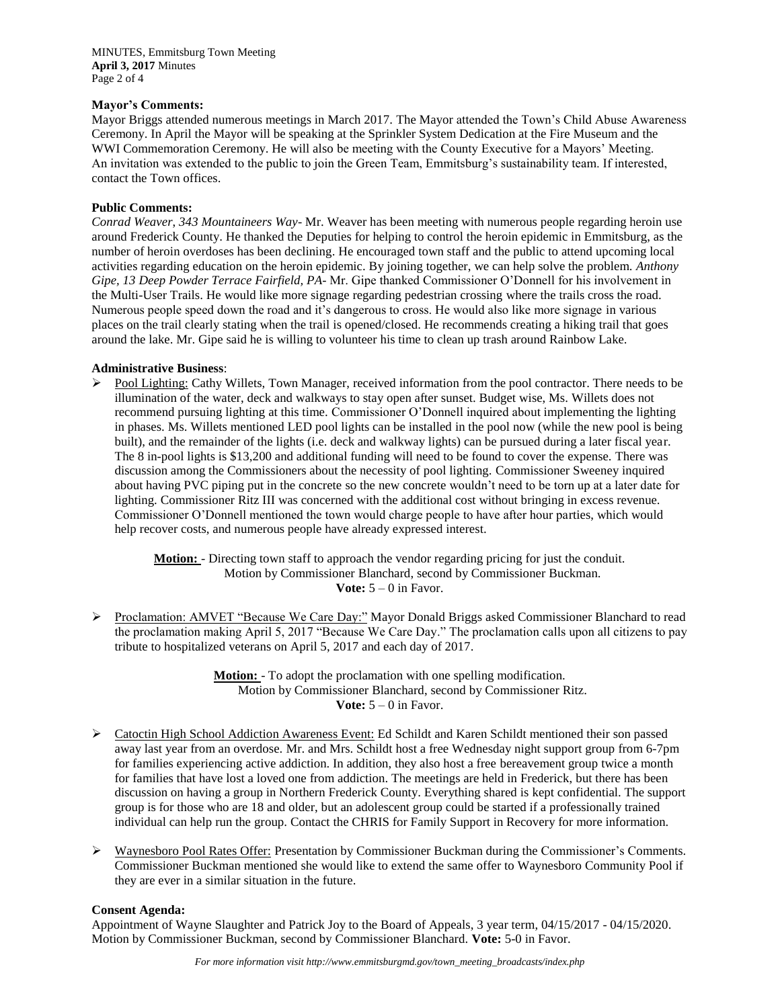MINUTES, Emmitsburg Town Meeting **April 3, 2017** Minutes Page 2 of 4

#### **Mayor's Comments:**

Mayor Briggs attended numerous meetings in March 2017. The Mayor attended the Town's Child Abuse Awareness Ceremony. In April the Mayor will be speaking at the Sprinkler System Dedication at the Fire Museum and the WWI Commemoration Ceremony. He will also be meeting with the County Executive for a Mayors' Meeting. An invitation was extended to the public to join the Green Team, Emmitsburg's sustainability team. If interested, contact the Town offices.

#### **Public Comments:**

*Conrad Weaver*, *343 Mountaineers Way*- Mr. Weaver has been meeting with numerous people regarding heroin use around Frederick County. He thanked the Deputies for helping to control the heroin epidemic in Emmitsburg, as the number of heroin overdoses has been declining. He encouraged town staff and the public to attend upcoming local activities regarding education on the heroin epidemic. By joining together, we can help solve the problem. *Anthony Gipe, 13 Deep Powder Terrace Fairfield, PA*- Mr. Gipe thanked Commissioner O'Donnell for his involvement in the Multi-User Trails. He would like more signage regarding pedestrian crossing where the trails cross the road. Numerous people speed down the road and it's dangerous to cross. He would also like more signage in various places on the trail clearly stating when the trail is opened/closed. He recommends creating a hiking trail that goes around the lake. Mr. Gipe said he is willing to volunteer his time to clean up trash around Rainbow Lake.

# **Administrative Business**:

▶ Pool Lighting: Cathy Willets, Town Manager, received information from the pool contractor. There needs to be illumination of the water, deck and walkways to stay open after sunset. Budget wise, Ms. Willets does not recommend pursuing lighting at this time. Commissioner O'Donnell inquired about implementing the lighting in phases. Ms. Willets mentioned LED pool lights can be installed in the pool now (while the new pool is being built), and the remainder of the lights (i.e. deck and walkway lights) can be pursued during a later fiscal year. The 8 in-pool lights is \$13,200 and additional funding will need to be found to cover the expense. There was discussion among the Commissioners about the necessity of pool lighting. Commissioner Sweeney inquired about having PVC piping put in the concrete so the new concrete wouldn't need to be torn up at a later date for lighting. Commissioner Ritz III was concerned with the additional cost without bringing in excess revenue. Commissioner O'Donnell mentioned the town would charge people to have after hour parties, which would help recover costs, and numerous people have already expressed interest.

> **Motion:** - Directing town staff to approach the vendor regarding pricing for just the conduit. Motion by Commissioner Blanchard, second by Commissioner Buckman. **Vote:**  $5 - 0$  in Favor.

 Proclamation: AMVET "Because We Care Day:" Mayor Donald Briggs asked Commissioner Blanchard to read the proclamation making April 5, 2017 "Because We Care Day." The proclamation calls upon all citizens to pay tribute to hospitalized veterans on April 5, 2017 and each day of 2017.

> **Motion:** - To adopt the proclamation with one spelling modification. Motion by Commissioner Blanchard, second by Commissioner Ritz. **Vote:**  $5 - 0$  in Favor.

- ▶ Catoctin High School Addiction Awareness Event: Ed Schildt and Karen Schildt mentioned their son passed away last year from an overdose. Mr. and Mrs. Schildt host a free Wednesday night support group from 6-7pm for families experiencing active addiction. In addition, they also host a free bereavement group twice a month for families that have lost a loved one from addiction. The meetings are held in Frederick, but there has been discussion on having a group in Northern Frederick County. Everything shared is kept confidential. The support group is for those who are 18 and older, but an adolescent group could be started if a professionally trained individual can help run the group. Contact the CHRIS for Family Support in Recovery for more information.
- Waynesboro Pool Rates Offer: Presentation by Commissioner Buckman during the Commissioner's Comments. Commissioner Buckman mentioned she would like to extend the same offer to Waynesboro Community Pool if they are ever in a similar situation in the future.

#### **Consent Agenda:**

Appointment of Wayne Slaughter and Patrick Joy to the Board of Appeals, 3 year term, 04/15/2017 - 04/15/2020. Motion by Commissioner Buckman, second by Commissioner Blanchard. **Vote:** 5-0 in Favor.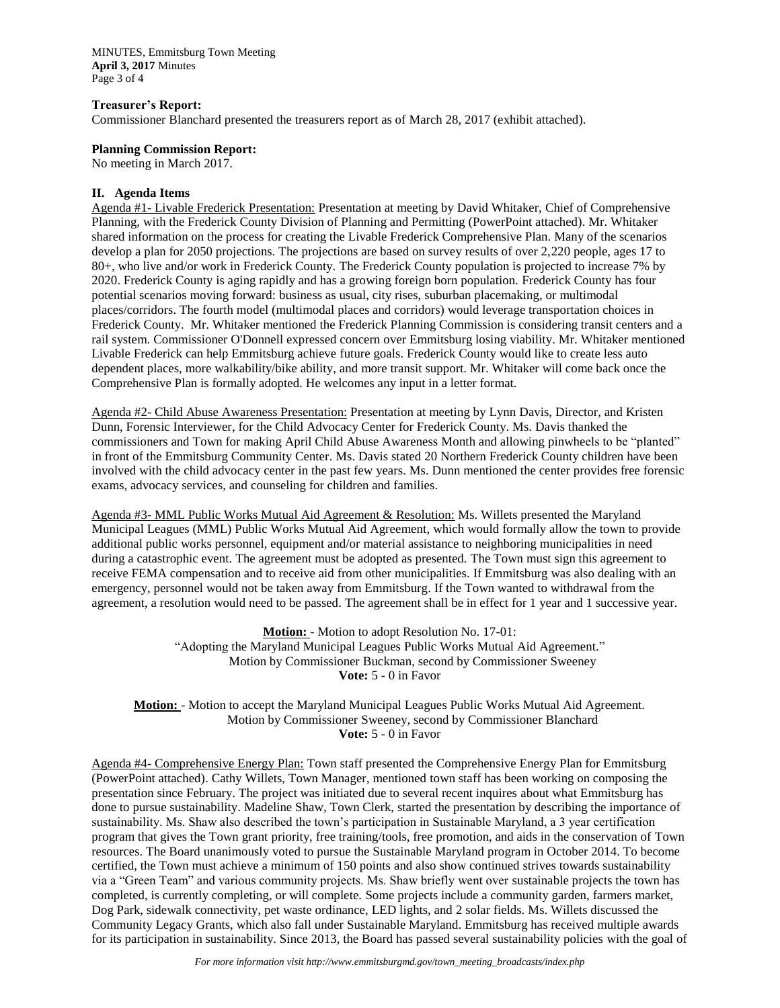MINUTES, Emmitsburg Town Meeting **April 3, 2017** Minutes Page 3 of 4

#### **Treasurer's Report:**

Commissioner Blanchard presented the treasurers report as of March 28, 2017 (exhibit attached).

# **Planning Commission Report:**

No meeting in March 2017.

# **II. Agenda Items**

Agenda #1- Livable Frederick Presentation: Presentation at meeting by David Whitaker, Chief of Comprehensive Planning, with the Frederick County Division of Planning and Permitting (PowerPoint attached). Mr. Whitaker shared information on the process for creating the Livable Frederick Comprehensive Plan. Many of the scenarios develop a plan for 2050 projections. The projections are based on survey results of over 2,220 people, ages 17 to 80+, who live and/or work in Frederick County. The Frederick County population is projected to increase 7% by 2020. Frederick County is aging rapidly and has a growing foreign born population. Frederick County has four potential scenarios moving forward: business as usual, city rises, suburban placemaking, or multimodal places/corridors. The fourth model (multimodal places and corridors) would leverage transportation choices in Frederick County. Mr. Whitaker mentioned the Frederick Planning Commission is considering transit centers and a rail system. Commissioner O'Donnell expressed concern over Emmitsburg losing viability. Mr. Whitaker mentioned Livable Frederick can help Emmitsburg achieve future goals. Frederick County would like to create less auto dependent places, more walkability/bike ability, and more transit support. Mr. Whitaker will come back once the Comprehensive Plan is formally adopted. He welcomes any input in a letter format.

Agenda #2- Child Abuse Awareness Presentation: Presentation at meeting by Lynn Davis, Director, and Kristen Dunn, Forensic Interviewer, for the Child Advocacy Center for Frederick County. Ms. Davis thanked the commissioners and Town for making April Child Abuse Awareness Month and allowing pinwheels to be "planted" in front of the Emmitsburg Community Center. Ms. Davis stated 20 Northern Frederick County children have been involved with the child advocacy center in the past few years. Ms. Dunn mentioned the center provides free forensic exams, advocacy services, and counseling for children and families.

Agenda #3- MML Public Works Mutual Aid Agreement & Resolution: Ms. Willets presented the Maryland Municipal Leagues (MML) Public Works Mutual Aid Agreement, which would formally allow the town to provide additional public works personnel, equipment and/or material assistance to neighboring municipalities in need during a catastrophic event. The agreement must be adopted as presented. The Town must sign this agreement to receive FEMA compensation and to receive aid from other municipalities. If Emmitsburg was also dealing with an emergency, personnel would not be taken away from Emmitsburg. If the Town wanted to withdrawal from the agreement, a resolution would need to be passed. The agreement shall be in effect for 1 year and 1 successive year.

> **Motion:** - Motion to adopt Resolution No. 17-01: "Adopting the Maryland Municipal Leagues Public Works Mutual Aid Agreement." Motion by Commissioner Buckman, second by Commissioner Sweeney **Vote:** 5 - 0 in Favor

**Motion:** - Motion to accept the Maryland Municipal Leagues Public Works Mutual Aid Agreement. Motion by Commissioner Sweeney, second by Commissioner Blanchard **Vote:** 5 - 0 in Favor

Agenda #4- Comprehensive Energy Plan: Town staff presented the Comprehensive Energy Plan for Emmitsburg (PowerPoint attached). Cathy Willets, Town Manager, mentioned town staff has been working on composing the presentation since February. The project was initiated due to several recent inquires about what Emmitsburg has done to pursue sustainability. Madeline Shaw, Town Clerk, started the presentation by describing the importance of sustainability. Ms. Shaw also described the town's participation in Sustainable Maryland, a 3 year certification program that gives the Town grant priority, free training/tools, free promotion, and aids in the conservation of Town resources. The Board unanimously voted to pursue the Sustainable Maryland program in October 2014. To become certified, the Town must achieve a minimum of 150 points and also show continued strives towards sustainability via a "Green Team" and various community projects. Ms. Shaw briefly went over sustainable projects the town has completed, is currently completing, or will complete. Some projects include a community garden, farmers market, Dog Park, sidewalk connectivity, pet waste ordinance, LED lights, and 2 solar fields. Ms. Willets discussed the Community Legacy Grants, which also fall under Sustainable Maryland. Emmitsburg has received multiple awards for its participation in sustainability. Since 2013, the Board has passed several sustainability policies with the goal of